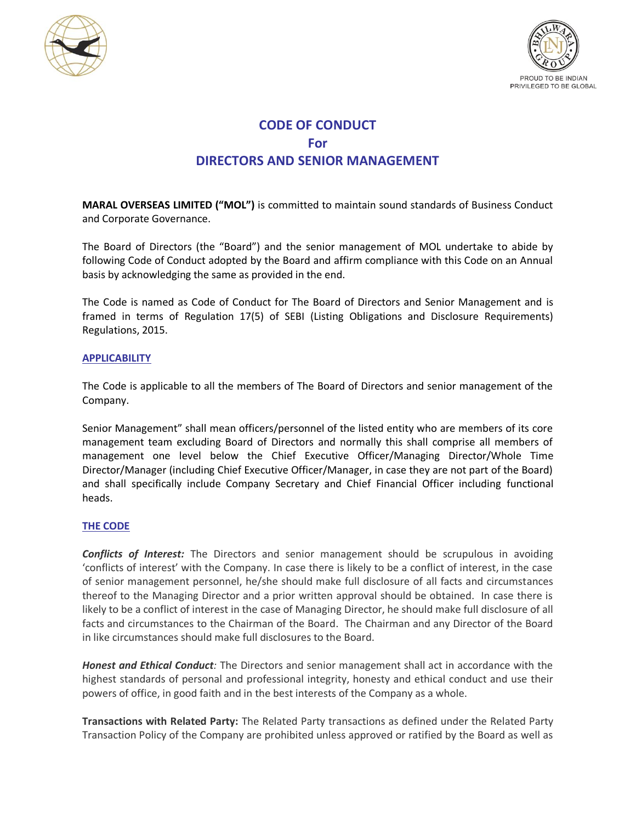



## **CODE OF CONDUCT For DIRECTORS AND SENIOR MANAGEMENT**

**MARAL OVERSEAS LIMITED ("MOL")** is committed to maintain sound standards of Business Conduct and Corporate Governance.

The Board of Directors (the "Board") and the senior management of MOL undertake to abide by following Code of Conduct adopted by the Board and affirm compliance with this Code on an Annual basis by acknowledging the same as provided in the end.

The Code is named as Code of Conduct for The Board of Directors and Senior Management and is framed in terms of Regulation 17(5) of SEBI (Listing Obligations and Disclosure Requirements) Regulations, 2015.

## **APPLICABILITY**

The Code is applicable to all the members of The Board of Directors and senior management of the Company.

Senior Management" shall mean officers/personnel of the listed entity who are members of its core management team excluding Board of Directors and normally this shall comprise all members of management one level below the Chief Executive Officer/Managing Director/Whole Time Director/Manager (including Chief Executive Officer/Manager, in case they are not part of the Board) and shall specifically include Company Secretary and Chief Financial Officer including functional heads.

## **THE CODE**

*Conflicts of Interest:* The Directors and senior management should be scrupulous in avoiding 'conflicts of interest' with the Company. In case there is likely to be a conflict of interest, in the case of senior management personnel, he/she should make full disclosure of all facts and circumstances thereof to the Managing Director and a prior written approval should be obtained. In case there is likely to be a conflict of interest in the case of Managing Director, he should make full disclosure of all facts and circumstances to the Chairman of the Board. The Chairman and any Director of the Board in like circumstances should make full disclosures to the Board.

*Honest and Ethical Conduct:* The Directors and senior management shall act in accordance with the highest standards of personal and professional integrity, honesty and ethical conduct and use their powers of office, in good faith and in the best interests of the Company as a whole.

**Transactions with Related Party:** The Related Party transactions as defined under the Related Party Transaction Policy of the Company are prohibited unless approved or ratified by the Board as well as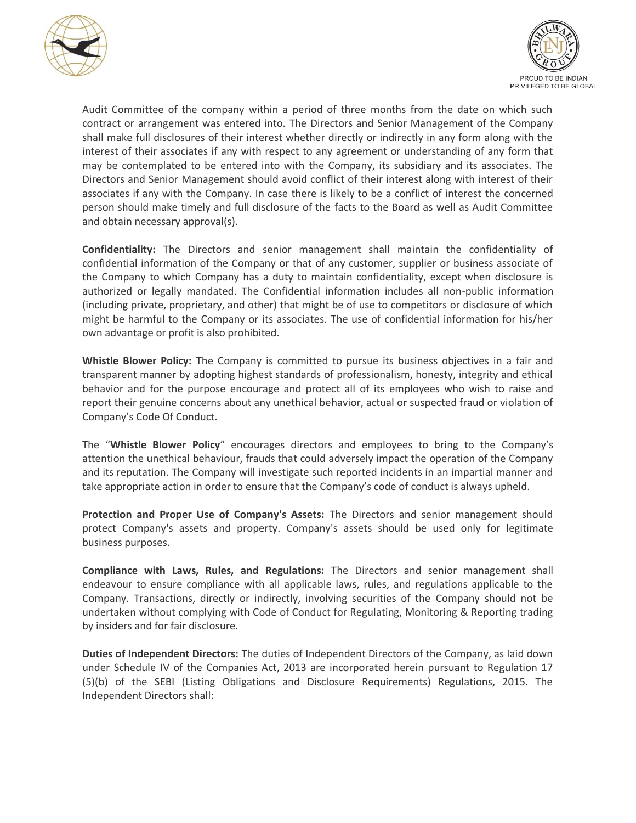



Audit Committee of the company within a period of three months from the date on which such contract or arrangement was entered into. The Directors and Senior Management of the Company shall make full disclosures of their interest whether directly or indirectly in any form along with the interest of their associates if any with respect to any agreement or understanding of any form that may be contemplated to be entered into with the Company, its subsidiary and its associates. The Directors and Senior Management should avoid conflict of their interest along with interest of their associates if any with the Company. In case there is likely to be a conflict of interest the concerned person should make timely and full disclosure of the facts to the Board as well as Audit Committee and obtain necessary approval(s).

**Confidentiality:** The Directors and senior management shall maintain the confidentiality of confidential information of the Company or that of any customer, supplier or business associate of the Company to which Company has a duty to maintain confidentiality, except when disclosure is authorized or legally mandated. The Confidential information includes all non-public information (including private, proprietary, and other) that might be of use to competitors or disclosure of which might be harmful to the Company or its associates. The use of confidential information for his/her own advantage or profit is also prohibited.

**Whistle Blower Policy:** The Company is committed to pursue its business objectives in a fair and transparent manner by adopting highest standards of professionalism, honesty, integrity and ethical behavior and for the purpose encourage and protect all of its employees who wish to raise and report their genuine concerns about any unethical behavior, actual or suspected fraud or violation of Company's Code Of Conduct.

The "**Whistle Blower Policy**" encourages directors and employees to bring to the Company's attention the unethical behaviour, frauds that could adversely impact the operation of the Company and its reputation. The Company will investigate such reported incidents in an impartial manner and take appropriate action in order to ensure that the Company's code of conduct is always upheld.

**Protection and Proper Use of Company's Assets:** The Directors and senior management should protect Company's assets and property. Company's assets should be used only for legitimate business purposes.

**Compliance with Laws, Rules, and Regulations:** The Directors and senior management shall endeavour to ensure compliance with all applicable laws, rules, and regulations applicable to the Company. Transactions, directly or indirectly, involving securities of the Company should not be undertaken without complying with Code of Conduct for Regulating, Monitoring & Reporting trading by insiders and for fair disclosure.

**Duties of Independent Directors:** The duties of Independent Directors of the Company, as laid down under Schedule IV of the Companies Act, 2013 are incorporated herein pursuant to Regulation 17 (5)(b) of the SEBI (Listing Obligations and Disclosure Requirements) Regulations, 2015. The Independent Directors shall: